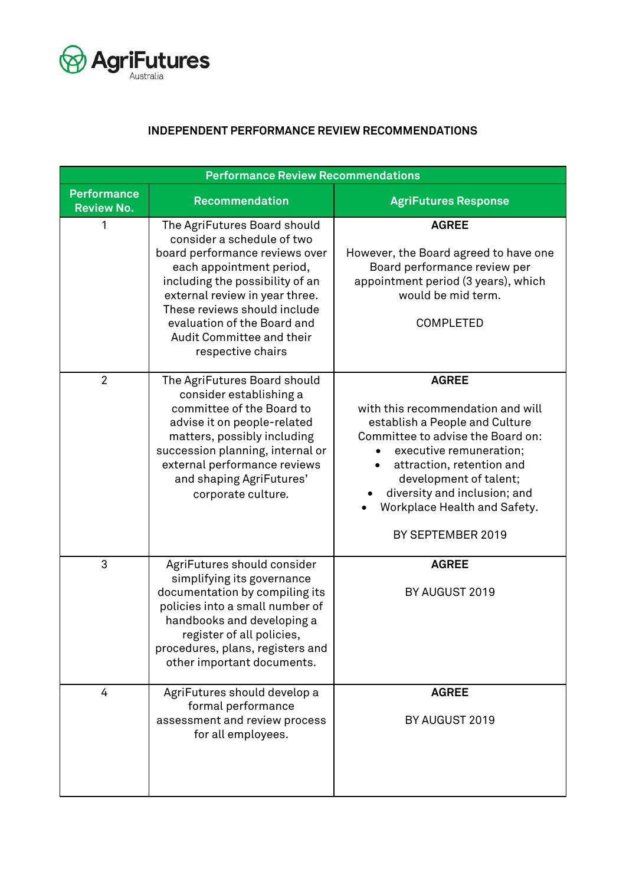

## **INDEPENDENT PERFORMANCE REVIEW RECOMMENDATIONS**

| <b>Performance Review Recommendations</b> |                                                                                                                                                                                                                                                                                                                |                                                                                                                                                                                                                                                                                                 |  |  |
|-------------------------------------------|----------------------------------------------------------------------------------------------------------------------------------------------------------------------------------------------------------------------------------------------------------------------------------------------------------------|-------------------------------------------------------------------------------------------------------------------------------------------------------------------------------------------------------------------------------------------------------------------------------------------------|--|--|
| <b>Performance</b><br><b>Review No.</b>   | <b>Recommendation</b>                                                                                                                                                                                                                                                                                          | <b>AgriFutures Response</b>                                                                                                                                                                                                                                                                     |  |  |
| 1                                         | The AgriFutures Board should<br>consider a schedule of two<br>board performance reviews over<br>each appointment period,<br>including the possibility of an<br>external review in year three.<br>These reviews should include<br>evaluation of the Board and<br>Audit Committee and their<br>respective chairs | <b>AGREE</b><br>However, the Board agreed to have one<br>Board performance review per<br>appointment period (3 years), which<br>would be mid term.<br><b>COMPLETED</b>                                                                                                                          |  |  |
| $\overline{2}$                            | The AgriFutures Board should<br>consider establishing a<br>committee of the Board to<br>advise it on people-related<br>matters, possibly including<br>succession planning, internal or<br>external performance reviews<br>and shaping AgriFutures'<br>corporate culture.                                       | <b>AGREE</b><br>with this recommendation and will<br>establish a People and Culture<br>Committee to advise the Board on:<br>executive remuneration;<br>attraction, retention and<br>development of talent;<br>diversity and inclusion; and<br>Workplace Health and Safety.<br>BY SEPTEMBER 2019 |  |  |
| 3                                         | AgriFutures should consider<br>simplifying its governance<br>documentation by compiling its<br>policies into a small number of<br>handbooks and developing a<br>register of all policies<br>procedures, plans, registers and<br>other important documents.                                                     | <b>AGREE</b><br>BY AUGUST 2019                                                                                                                                                                                                                                                                  |  |  |
| 4                                         | AgriFutures should develop a<br>formal performance<br>assessment and review process<br>for all employees.                                                                                                                                                                                                      | <b>AGREE</b><br>BY AUGUST 2019                                                                                                                                                                                                                                                                  |  |  |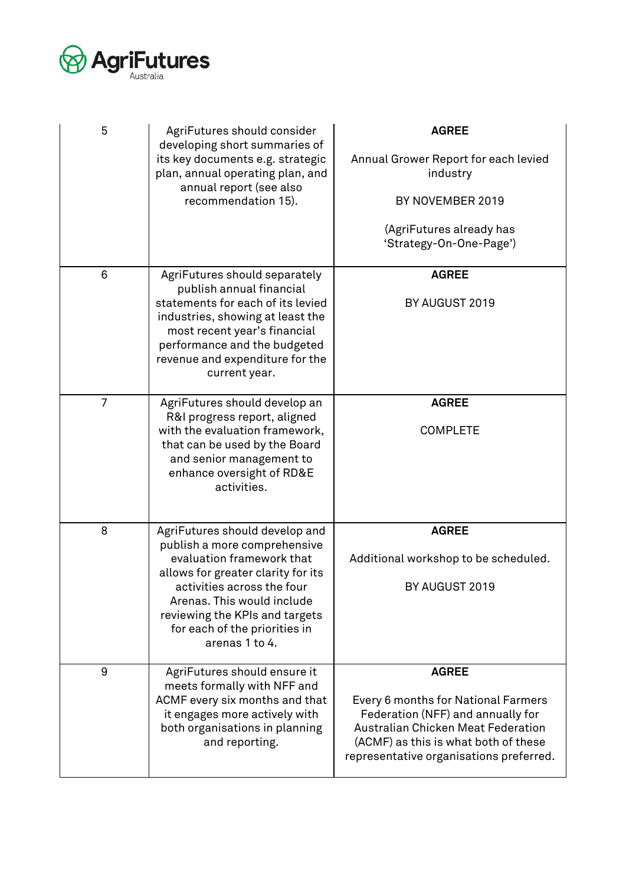

| 5 | AgriFutures should consider<br>developing short summaries of<br>its key documents e.g. strategic<br>plan, annual operating plan, and<br>annual report (see also<br>recommendation 15).                                                                                             | <b>AGREE</b><br>Annual Grower Report for each levied<br>industry<br>BY NOVEMBER 2019<br>(AgriFutures already has<br>'Strategy-On-One-Page')                                                                              |
|---|------------------------------------------------------------------------------------------------------------------------------------------------------------------------------------------------------------------------------------------------------------------------------------|--------------------------------------------------------------------------------------------------------------------------------------------------------------------------------------------------------------------------|
| 6 | AgriFutures should separately<br>publish annual financial<br>statements for each of its levied<br>industries, showing at least the<br>most recent year's financial<br>performance and the budgeted<br>revenue and expenditure for the<br>current year.                             | <b>AGREE</b><br>BY AUGUST 2019                                                                                                                                                                                           |
| 7 | AgriFutures should develop an<br>R&I progress report, aligned<br>with the evaluation framework,<br>that can be used by the Board<br>and senior management to<br>enhance oversight of RD&E<br>activities.                                                                           | <b>AGREE</b><br><b>COMPLETE</b>                                                                                                                                                                                          |
| 8 | AgriFutures should develop and<br>publish a more comprehensive<br>evaluation framework that<br>allows for greater clarity for its<br>activities across the four<br>Arenas. This would include<br>reviewing the KPIs and targets<br>for each of the priorities in<br>arenas 1 to 4. | <b>AGREE</b><br>Additional workshop to be scheduled.<br>BY AUGUST 2019                                                                                                                                                   |
| 9 | AgriFutures should ensure it<br>meets formally with NFF and<br>ACMF every six months and that<br>it engages more actively with<br>both organisations in planning<br>and reporting.                                                                                                 | <b>AGREE</b><br>Every 6 months for National Farmers<br>Federation (NFF) and annually for<br><b>Australian Chicken Meat Federation</b><br>(ACMF) as this is what both of these<br>representative organisations preferred. |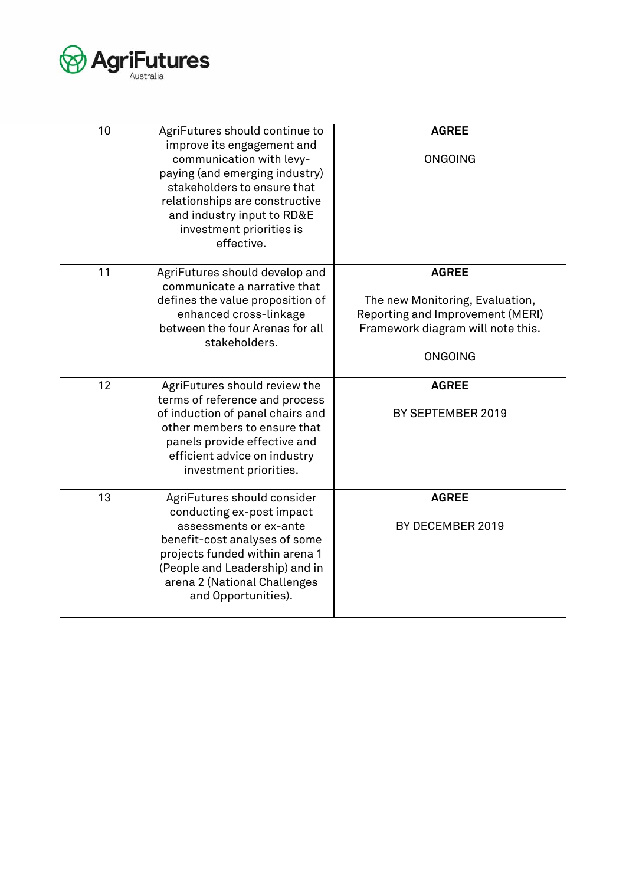

| 10 | AgriFutures should continue to<br>improve its engagement and<br>communication with levy-<br>paying (and emerging industry)<br>stakeholders to ensure that<br>relationships are constructive<br>and industry input to RD&E<br>investment priorities is<br>effective. | <b>AGREE</b><br><b>ONGOING</b>                                                                                                             |
|----|---------------------------------------------------------------------------------------------------------------------------------------------------------------------------------------------------------------------------------------------------------------------|--------------------------------------------------------------------------------------------------------------------------------------------|
| 11 | AgriFutures should develop and<br>communicate a narrative that<br>defines the value proposition of<br>enhanced cross-linkage<br>between the four Arenas for all<br>stakeholders.                                                                                    | <b>AGREE</b><br>The new Monitoring, Evaluation,<br>Reporting and Improvement (MERI)<br>Framework diagram will note this.<br><b>ONGOING</b> |
| 12 | AgriFutures should review the<br>terms of reference and process<br>of induction of panel chairs and<br>other members to ensure that<br>panels provide effective and<br>efficient advice on industry<br>investment priorities.                                       | <b>AGREE</b><br>BY SEPTEMBER 2019                                                                                                          |
| 13 | AgriFutures should consider<br>conducting ex-post impact<br>assessments or ex-ante<br>benefit-cost analyses of some<br>projects funded within arena 1<br>(People and Leadership) and in<br>arena 2 (National Challenges<br>and Opportunities).                      | <b>AGREE</b><br>BY DECEMBER 2019                                                                                                           |